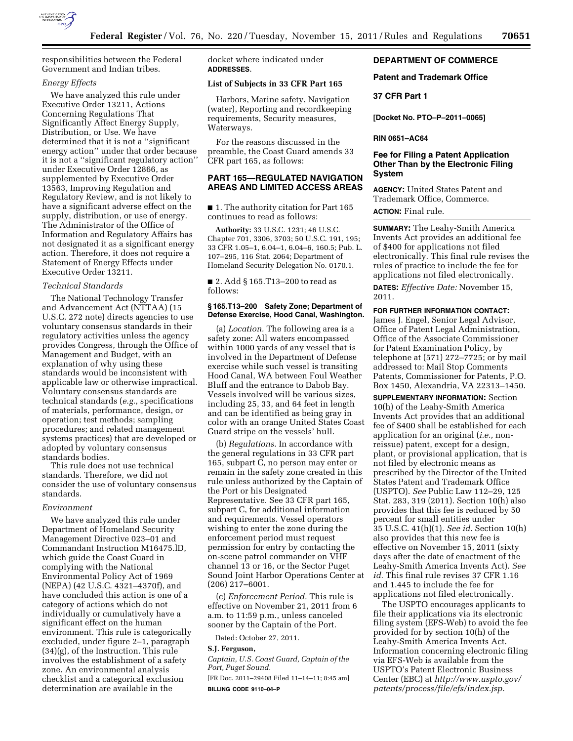

responsibilities between the Federal Government and Indian tribes.

### *Energy Effects*

We have analyzed this rule under Executive Order 13211, Actions Concerning Regulations That Significantly Affect Energy Supply, Distribution, or Use. We have determined that it is not a ''significant energy action'' under that order because it is not a ''significant regulatory action'' under Executive Order 12866, as supplemented by Executive Order 13563, Improving Regulation and Regulatory Review, and is not likely to have a significant adverse effect on the supply, distribution, or use of energy. The Administrator of the Office of Information and Regulatory Affairs has not designated it as a significant energy action. Therefore, it does not require a Statement of Energy Effects under Executive Order 13211.

#### *Technical Standards*

The National Technology Transfer and Advancement Act (NTTAA) (15 U.S.C. 272 note) directs agencies to use voluntary consensus standards in their regulatory activities unless the agency provides Congress, through the Office of Management and Budget, with an explanation of why using these standards would be inconsistent with applicable law or otherwise impractical. Voluntary consensus standards are technical standards (*e.g.,* specifications of materials, performance, design, or operation; test methods; sampling procedures; and related management systems practices) that are developed or adopted by voluntary consensus standards bodies.

This rule does not use technical standards. Therefore, we did not consider the use of voluntary consensus standards.

### *Environment*

We have analyzed this rule under Department of Homeland Security Management Directive 023–01 and Commandant Instruction M16475.lD, which guide the Coast Guard in complying with the National Environmental Policy Act of 1969 (NEPA) (42 U.S.C. 4321–4370f), and have concluded this action is one of a category of actions which do not individually or cumulatively have a significant effect on the human environment. This rule is categorically excluded, under figure 2–1, paragraph (34)(g), of the Instruction. This rule involves the establishment of a safety zone. An environmental analysis checklist and a categorical exclusion determination are available in the

docket where indicated under **ADDRESSES**.

### **List of Subjects in 33 CFR Part 165**

Harbors, Marine safety, Navigation (water), Reporting and recordkeeping requirements, Security measures, Waterways.

For the reasons discussed in the preamble, the Coast Guard amends 33 CFR part 165, as follows:

# **PART 165—REGULATED NAVIGATION AREAS AND LIMITED ACCESS AREAS**

■ 1. The authority citation for Part 165 continues to read as follows:

**Authority:** 33 U.S.C. 1231; 46 U.S.C. Chapter 701, 3306, 3703; 50 U.S.C. 191, 195; 33 CFR 1.05–1, 6.04–1, 6.04–6, 160.5; Pub. L. 107–295, 116 Stat. 2064; Department of Homeland Security Delegation No. 0170.1.

■ 2. Add § 165.T13–200 to read as follows:

### **§ 165.T13–200 Safety Zone; Department of Defense Exercise, Hood Canal, Washington.**

(a) *Location.* The following area is a safety zone: All waters encompassed within 1000 yards of any vessel that is involved in the Department of Defense exercise while such vessel is transiting Hood Canal, WA between Foul Weather Bluff and the entrance to Dabob Bay. Vessels involved will be various sizes, including 25, 33, and 64 feet in length and can be identified as being gray in color with an orange United States Coast Guard stripe on the vessels' hull.

(b) *Regulations.* In accordance with the general regulations in 33 CFR part 165, subpart C, no person may enter or remain in the safety zone created in this rule unless authorized by the Captain of the Port or his Designated Representative. See 33 CFR part 165, subpart C, for additional information and requirements. Vessel operators wishing to enter the zone during the enforcement period must request permission for entry by contacting the on-scene patrol commander on VHF channel 13 or 16, or the Sector Puget Sound Joint Harbor Operations Center at (206) 217–6001.

(c) *Enforcement Period.* This rule is effective on November 21, 2011 from 6 a.m. to 11:59 p.m., unless canceled sooner by the Captain of the Port.

Dated: October 27, 2011.

#### **S.J. Ferguson,**

*Captain, U.S. Coast Guard, Captain of the Port, Puget Sound.* 

[FR Doc. 2011–29408 Filed 11–14–11; 8:45 am] **BILLING CODE 9110–04–P** 

# **DEPARTMENT OF COMMERCE**

### **Patent and Trademark Office**

### **37 CFR Part 1**

**[Docket No. PTO–P–2011–0065]** 

**RIN 0651–AC64** 

## **Fee for Filing a Patent Application Other Than by the Electronic Filing System**

**AGENCY:** United States Patent and Trademark Office, Commerce. **ACTION:** Final rule.

**SUMMARY:** The Leahy-Smith America Invents Act provides an additional fee of \$400 for applications not filed electronically. This final rule revises the rules of practice to include the fee for

applications not filed electronically. **DATES:** *Effective Date:* November 15, 2011.

#### **FOR FURTHER INFORMATION CONTACT:**

James J. Engel, Senior Legal Advisor, Office of Patent Legal Administration, Office of the Associate Commissioner for Patent Examination Policy, by telephone at (571) 272–7725; or by mail addressed to: Mail Stop Comments Patents, Commissioner for Patents, P.O. Box 1450, Alexandria, VA 22313–1450.

**SUPPLEMENTARY INFORMATION:** Section 10(h) of the Leahy-Smith America Invents Act provides that an additional fee of \$400 shall be established for each application for an original (*i.e.,* nonreissue) patent, except for a design, plant, or provisional application, that is not filed by electronic means as prescribed by the Director of the United States Patent and Trademark Office (USPTO). *See* Public Law 112–29, 125 Stat. 283, 319 (2011). Section 10(h) also provides that this fee is reduced by 50 percent for small entities under 35 U.S.C. 41(h)(1). *See id.* Section 10(h) also provides that this new fee is effective on November 15, 2011 (sixty days after the date of enactment of the Leahy-Smith America Invents Act). *See id.* This final rule revises 37 CFR 1.16 and 1.445 to include the fee for applications not filed electronically.

The USPTO encourages applicants to file their applications via its electronic filing system (EFS-Web) to avoid the fee provided for by section 10(h) of the Leahy-Smith America Invents Act. Information concerning electronic filing via EFS-Web is available from the USPTO's Patent Electronic Business Center (EBC) at *[http://www.uspto.gov/](http://www.uspto.gov/patents/process/file/efs/index.jsp) [patents/process/file/efs/index.jsp.](http://www.uspto.gov/patents/process/file/efs/index.jsp)*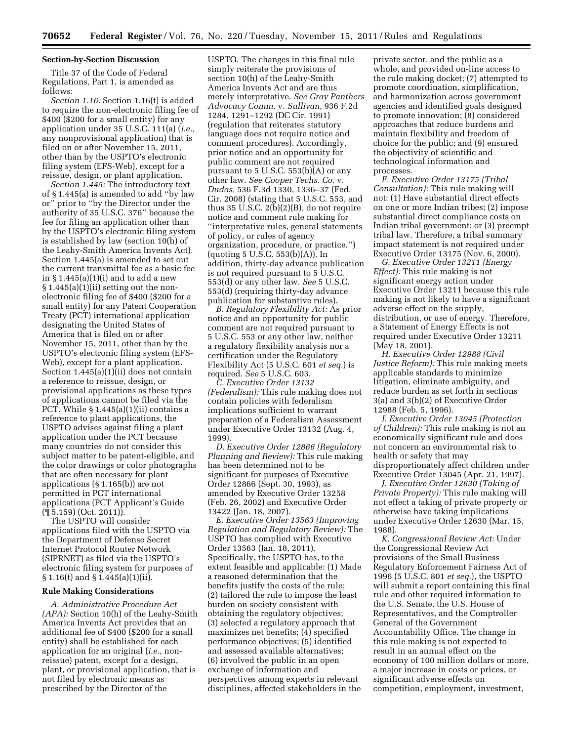### **Section-by-Section Discussion**

Title 37 of the Code of Federal Regulations, Part 1, is amended as follows:

*Section 1.16:* Section 1.16(t) is added to require the non-electronic filing fee of \$400 (\$200 for a small entity) for any application under 35 U.S.C. 111(a) (*i.e.,*  any nonprovisional application) that is filed on or after November 15, 2011, other than by the USPTO's electronic filing system (EFS-Web), except for a reissue, design, or plant application.

*Section 1.445:* The introductory text of § 1.445(a) is amended to add ''by law or'' prior to ''by the Director under the authority of 35 U.S.C. 376'' because the fee for filing an application other than by the USPTO's electronic filing system is established by law (section 10(h) of the Leahy-Smith America Invents Act). Section 1.445(a) is amended to set out the current transmittal fee as a basic fee in § 1.445(a)(1)(i) and to add a new § 1.445(a)(1)(ii) setting out the nonelectronic filing fee of \$400 (\$200 for a small entity) for any Patent Cooperation Treaty (PCT) international application designating the United States of America that is filed on or after November 15, 2011, other than by the USPTO's electronic filing system (EFS-Web), except for a plant application. Section 1.445(a)(1)(ii) does not contain a reference to reissue, design, or provisional applications as these types of applications cannot be filed via the PCT. While § 1.445(a)(1)(ii) contains a reference to plant applications, the USPTO advises against filing a plant application under the PCT because many countries do not consider this subject matter to be patent-eligible, and the color drawings or color photographs that are often necessary for plant applications (§ 1.165(b)) are not permitted in PCT international applications (PCT Applicant's Guide (¶ 5.159) (Oct. 2011)).

The USPTO will consider applications filed with the USPTO via the Department of Defense Secret Internet Protocol Router Network (SIPRNET) as filed via the USPTO's electronic filing system for purposes of § 1.16(t) and § 1.445(a)(1)(ii).

### **Rule Making Considerations**

*A. Administrative Procedure Act (APA):* Section 10(h) of the Leahy-Smith America Invents Act provides that an additional fee of \$400 (\$200 for a small entity) shall be established for each application for an original (*i.e.,* nonreissue) patent, except for a design, plant, or provisional application, that is not filed by electronic means as prescribed by the Director of the

USPTO. The changes in this final rule simply reiterate the provisions of section 10(h) of the Leahy-Smith America Invents Act and are thus merely interpretative. *See Gray Panthers Advocacy Comm.* v. *Sullivan,* 936 F.2d 1284, 1291–1292 (DC Cir. 1991) (regulation that reiterates statutory language does not require notice and comment procedures). Accordingly, prior notice and an opportunity for public comment are not required pursuant to 5 U.S.C.  $553(b)(A)$  or any other law. *See Cooper Techs. Co.* v. *Dudas,* 536 F.3d 1330, 1336–37 (Fed. Cir. 2008) (stating that 5 U.S.C. 553, and thus 35 U.S.C.  $2(b)(2)(B)$ , do not require notice and comment rule making for ''interpretative rules, general statements of policy, or rules of agency organization, procedure, or practice.'') (quoting 5 U.S.C. 553(b)(A)). In addition, thirty-day advance publication is not required pursuant to 5 U.S.C. 553(d) or any other law. *See* 5 U.S.C. 553(d) (requiring thirty-day advance publication for substantive rules).

*B. Regulatory Flexibility Act:* As prior notice and an opportunity for public comment are not required pursuant to 5 U.S.C. 553 or any other law, neither a regulatory flexibility analysis nor a certification under the Regulatory Flexibility Act (5 U.S.C. 601 *et seq.*) is required. *See* 5 U.S.C. 603.

*C. Executive Order 13132 (Federalism):* This rule making does not contain policies with federalism implications sufficient to warrant preparation of a Federalism Assessment under Executive Order 13132 (Aug. 4, 1999).

*D. Executive Order 12866 (Regulatory Planning and Review):* This rule making has been determined not to be significant for purposes of Executive Order 12866 (Sept. 30, 1993), as amended by Executive Order 13258 (Feb. 26, 2002) and Executive Order 13422 (Jan. 18, 2007).

*E. Executive Order 13563 (Improving Regulation and Regulatory Review):* The USPTO has complied with Executive Order 13563 (Jan. 18, 2011). Specifically, the USPTO has, to the extent feasible and applicable: (1) Made a reasoned determination that the benefits justify the costs of the rule; (2) tailored the rule to impose the least burden on society consistent with obtaining the regulatory objectives; (3) selected a regulatory approach that maximizes net benefits; (4) specified performance objectives; (5) identified and assessed available alternatives; (6) involved the public in an open exchange of information and perspectives among experts in relevant disciplines, affected stakeholders in the

private sector, and the public as a whole, and provided on-line access to the rule making docket; (7) attempted to promote coordination, simplification, and harmonization across government agencies and identified goals designed to promote innovation; (8) considered approaches that reduce burdens and maintain flexibility and freedom of choice for the public; and (9) ensured the objectivity of scientific and technological information and processes.

*F. Executive Order 13175 (Tribal Consultation):* This rule making will not: (1) Have substantial direct effects on one or more Indian tribes; (2) impose substantial direct compliance costs on Indian tribal government; or (3) preempt tribal law. Therefore, a tribal summary impact statement is not required under Executive Order 13175 (Nov. 6, 2000).

*G. Executive Order 13211 (Energy Effect):* This rule making is not significant energy action under Executive Order 13211 because this rule making is not likely to have a significant adverse effect on the supply, distribution, or use of energy. Therefore, a Statement of Energy Effects is not required under Executive Order 13211 (May 18, 2001).

*H. Executive Order 12988 (Civil Justice Reform):* This rule making meets applicable standards to minimize litigation, eliminate ambiguity, and reduce burden as set forth in sections 3(a) and 3(b)(2) of Executive Order 12988 (Feb. 5, 1996).

*I. Executive Order 13045 (Protection of Children):* This rule making is not an economically significant rule and does not concern an environmental risk to health or safety that may disproportionately affect children under Executive Order 13045 (Apr. 21, 1997).

*J. Executive Order 12630 (Taking of Private Property):* This rule making will not effect a taking of private property or otherwise have taking implications under Executive Order 12630 (Mar. 15, 1988).

*K. Congressional Review Act:* Under the Congressional Review Act provisions of the Small Business Regulatory Enforcement Fairness Act of 1996 (5 U.S.C. 801 *et seq.*), the USPTO will submit a report containing this final rule and other required information to the U.S. Senate, the U.S. House of Representatives, and the Comptroller General of the Government Accountability Office. The change in this rule making is not expected to result in an annual effect on the economy of 100 million dollars or more, a major increase in costs or prices, or significant adverse effects on competition, employment, investment,